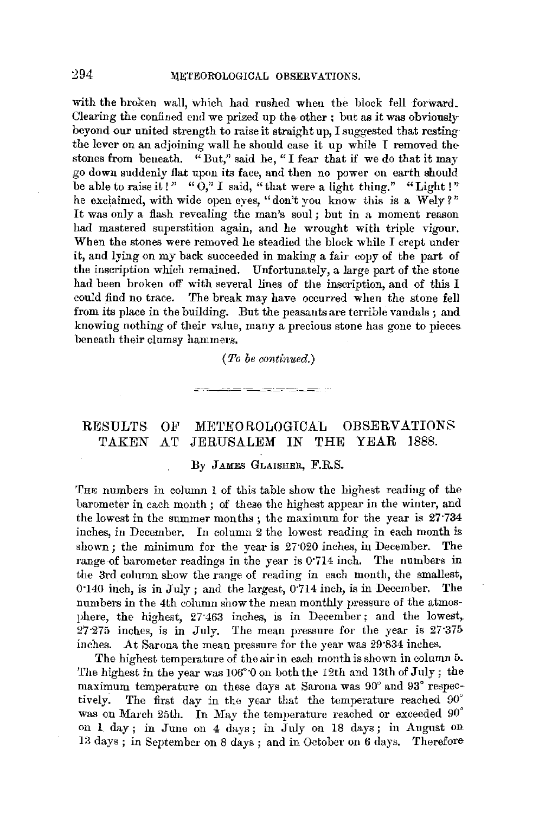with the broken wall, which had rushed when the block fell forward. Clearing the confined end we prized up the other : but as it was obviously beyond our united strength to raise it straight up. I suggested that restingthe lever on an adjoining wall he should ease it up while I removed thestones from beueath. "But," said he, "I fear that if we do that it may go down suddenly flat upon its face, and then no power on earth should be able to raise it!" " $\ddot{0}$ ," I said, "that were a light thing." "Light!" he exclaimed, with wide open eyes, "don't you know this is a Wely?" It was only a flash revealing the man's soul ; but in a moment reason had mastered superstition again, and he wrought with triple vigour. When the stones were removed he steadied the block while I crept under it, and lying on my back succeeded in making a fair copy of the part of the inscription which remained. Unfortunately, a large part of the stone had been broken off with several lines of the inscription, and of this I could find no trace. The break may have occurred when the stone fell from its place in the building. But the peasants are terrible vandals ; and knowing nothing of their value, many a precious stone has gone to pieces. beneath their clumsy hammers.

## *(To be continued.)*

<u> Les Anti-American de la provincia de la pro</u>

## RESULTS OF METEOROLOGICAL OBSERVATIONS TAKEN AT JERUSALEM IN THE YEAR 1888.

## By JAMES GLAISHER, F.R.S.

'fHE numbers in column 1 of this table show the highest readiug of the barometer in each month; of these the highest appear in the winter, and the lowest in the summer months; the maximum for the year is 27·734 inches, in December. In column 2 the lowest reading in each month is shown; the minimum for the year is 27·020 inches, in December. The range of barometer readings in the year is 0.714 inch. The numbers in the 3rd column show the range of reading in each month, the smallest, 0·140 inch, is in July; and the largest, 0-714 inch, is in December. The numbers in the 4th column show the mean monthly pressure of the atmosphere, the highest, 27<sup>-463</sup> inches, is in December; and the lowest, 27·275 inches, is in July. The mean pressure for the year is 27·375 inches. At Sarona the mean pressure for the year was 29·834 inches.

The highest temperature of the air in each month is shown in column 5. The highest in the year was  $106^{\circ}$  O on both the 12th and 13th of July; the maximum temperature on these days at Sarona was 90° and 93° respectively. The first day in the year that the temperature reached 90° was on March 25th. In May the temperature reached or exceeded 90° on 1 day; in June on 4 days; in July on 18 days; in August on 13 days; in September on 8 days; and in October on 6 days. Therefore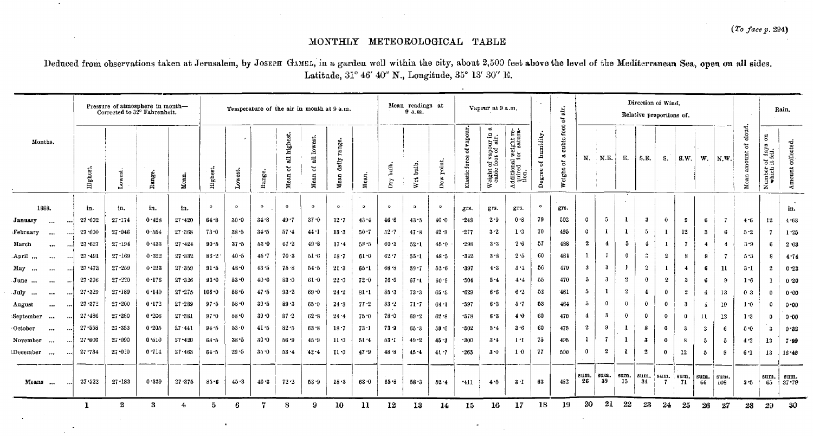## MONTHLY METEOROLOGICAL TABLE

 $\sim$ 

Deduced from observations taken at Jerusalem, by JOSEPH GAMEL, in a garden well within the city, about 2,500 feet above the level of the Mediterranean Sea, open on all sides. Latitude, 31° 46' 40" N., Longitude, 35° 13' 30" E.

|                       |          |            | Pressure of atmosphere in month-<br>Corrected to 32° Fahrenheit. |        |            | Temperature of the air in month at 9 a.m. |           |          |                           |                           |                         |           | Mean readings at<br>9a.m.    |              |                        |                               | Vapour at 9 a.m.                                      | ÷                                                    | air.<br>ð.               | Direction of Wind.<br>Relative proportions of. |                |                |                         |                |              |                |                      | Rain,                    |                           |                                                        |                   |
|-----------------------|----------|------------|------------------------------------------------------------------|--------|------------|-------------------------------------------|-----------|----------|---------------------------|---------------------------|-------------------------|-----------|------------------------------|--------------|------------------------|-------------------------------|-------------------------------------------------------|------------------------------------------------------|--------------------------|------------------------------------------------|----------------|----------------|-------------------------|----------------|--------------|----------------|----------------------|--------------------------|---------------------------|--------------------------------------------------------|-------------------|
| Months.               |          | Highest    | Lowest.                                                          | Range. | Mean.      | Highest                                   | Lowest.   | Range.   | all highest.<br>ร<br>Mean | lowest.<br>듾<br>2<br>Mean | range.<br>datly<br>Mean | Mean.     | buile.<br>$\overline{\rm b}$ | hulb,<br>Wet | point,<br>$_{\rm Der}$ | vapour.<br>ೆ<br>Elastic force | $\sigma$<br>Weight of vapour in<br>cubic foot of air. | Additional weight re-<br>quired for satura-<br>tion. | humidity<br>ិ៍<br>Degree | cubic foot<br>ಹ<br>2<br>Weight                 | N.             | N.E.           | Е.                      | S.E.           | S.           | S.W.           | w.                   | $\mathbf{N}, \mathbf{W}$ | cloud.<br>ិ<br>int<br>Mea | $\overline{\rm s}$<br>Number of days<br>which it fell. | Amount collected. |
| 1888.                 |          | in.        | in.                                                              | in.    | in.        | $\circ$                                   | $\circ$   | $\circ$  | $\bullet$                 | $\bullet$                 | $\circ$                 | $\bullet$ | $\circ$                      | $\circ$      | $\bullet$              | grs.                          | grs.                                                  | grs.                                                 | $\circ$                  | grs.                                           |                |                |                         |                |              |                |                      |                          |                           |                                                        | in.               |
| January<br>$\cdots$   | $\cdots$ | 27.602     | $27 - 174$                                                       | 0.428  | $27 - 420$ | 64.8                                      | $30 - 0$  | 34.8     | $49 - 7$                  | $37 - 0$                  | 12.7                    | 43.4      | 46.6                         | 43.5         | $40 - 0$               | $-24S$                        | $2 - 9$                                               | $0 - 8$                                              | 79                       | 502                                            | $\circ$        | 5              |                         | -3             | $\theta$     | -9             | -6                   | -7                       | 4.6                       | 12                                                     | 4.63              |
| February<br>$\cdots$  | $\cdots$ | 27.600     | $27 - 046$                                                       | 0.554  | 27.368     | 73.0                                      | 38.5      | $34 - 5$ | $57 - 4$                  | 44.1                      | 13.3                    | $50 - 7$  | $52 - 7$                     | 47.8         | $42 - 9$               | $-277$                        | $3 - 2$                                               | 1.3                                                  | 70                       | 495                                            | $\mathbf 0$    | $\mathbf{I}$   | 1                       | -5             |              | 12             | -3                   | 6                        | $5-2$                     | 7                                                      | 1.25              |
| March<br>$\cdots$     |          | $27 - 627$ | 27:194                                                           | 0.433  | 27.424     | $90 - 5$                                  | 37.5      | 53.0     | $67 - 2$                  | 49.8                      | 17.4                    | 58.5      | 60.3                         | $52 - 1$     | 45.0                   | $-298$                        | $3 - 3$                                               | $2 - 6$                                              | 57                       | 488                                            | $\mathbf{2}$   | $\overline{4}$ | ð                       | $\overline{4}$ | 1            | $\overline{7}$ | -4                   | 4                        | 3.9                       | -6                                                     | $2 - 03$          |
| April<br>$\cdots$     | $\cdots$ | 27.491     | $27 - 169$                                                       | 0.322  | $27 - 332$ | $86 - 2$                                  | $40 - 5$  | $45 - 7$ | $70 - 3$                  | 51.6                      | 18.7                    | 61.0      | 62.7                         | $55 - 1$     | 48.5                   | $-312$                        | 3.8                                                   | 2.5                                                  | 60                       | 481                                            | -1             |                | $\bf{0}$                | ÷              | $\mathbf 2$  | 8              | 8                    | -7                       | 5.3                       | -8                                                     | 4.74              |
| May<br>$\cdots$       |          | $27 - 472$ | $27 - 259$                                                       | 0.213  | 27 359     | 91.5                                      | 48.0      | $43 - 5$ | 75 8                      | 54.5                      | 21.3                    | 60.1      | 68.8                         | $59 - 7$     | $52 - 6$               | -397                          | 4.3                                                   | $3 +$                                                | 56                       | 479                                            | -3             | -3             |                         | $^{2}$         |              | 4              | 6                    | $\mathbf{11}$            | $3 - 1$                   | 2                                                      | $0 - 23$          |
| June<br>$\cdots$      |          | 27.396     | $27 - 220$                                                       | 0.176  | 27.326     | 93.0                                      | 53.0      | $40 - 0$ | $83 - 0$                  | $61-0$                    | 22.0                    | $72 - 0$  | $76 - 6$                     | 67.4         | 60.9                   | $-504$                        | 5.4                                                   | 4.4                                                  | 55                       | 470                                            | 5              | 3              | $\overline{\mathbf{2}}$ | 0              | 2            | -3             | 6                    | -9                       | 1.6                       | л                                                      | 0.20              |
| July<br>              |          | $27 - 329$ | $27 - 189$                                                       | 0.140  | $27 - 275$ | 106.0                                     | 58.5      | 47.5     | 93.2                      | $69 - 0$                  | $24 - 2$                | 81.1      | $85 - 3$                     | $73 - 3$     | 65.5                   | $+629$                        | 6.6                                                   | $6 - 2$                                              | 52                       | 461                                            | 5              | $\mathbf{I}$   | 2                       | 4              | $\mathbf 0$  | 2              | $\overline{4}$       | 13                       | 0 <sub>3</sub>            | 0                                                      | 0.00              |
| August<br>$\cdots$    |          | $27 - 372$ | $27 - 200$                                                       | 0.172  | $27 - 289$ | $97 - 5$                                  | $58 - 0$  | $39 - 5$ | $89 - 3$                  | 65.0                      | $24 - 3$                | $77 - 2$  | $83 - 2$                     | $71 - 7$     | 64.1                   | $+597$                        | 6.3                                                   | $5 - 7$                                              | 53                       | 464                                            | $\bar{5}$      | $\Omega$       | $\bf{0}$                | $\mathbf{0}$   | $\bf{0}$     | -3             | $\blacktriangle$     | 19                       | $1 - 0$                   | $\Omega$                                               | 0.00              |
| September<br>$\cdots$ |          | $27 - 486$ | 27.280                                                           | 0.206  | 27 381     | 97.0                                      | $58 - 0$  | $39 - 0$ | 87.2                      | $62 - 8$                  | $24 - 4$                | 75.0      | $78 - 0$                     | $69 - 2$     | $62 - 8$               | .578                          | 6.3                                                   | 40                                                   | 60                       | 470                                            | $\overline{4}$ | -3             | $\bf{0}$                | $\mathbf 0$    | $\Omega$     | $\mathbf{0}$   | $\mathbf{11}$        | 12                       | $1 - 3$                   | $\bf{0}$                                               | 0.00              |
| October<br>$\cdots$   |          | $27 - 558$ | $27 - 353$                                                       | 0.205  | 27 441     | $94 - 5$                                  | 53.0      | $41 - 5$ | $82 - 5$                  | 63 8                      | $18 - 7$                | $73 - 1$  | 73.9                         | 65.3         | 59.0                   | .502                          | 5.4                                                   | 3.6                                                  | 60                       | 475                                            | $\mathbf{2}$   | -9             |                         | -8             | $^{\circ}$   | 3              | $\boldsymbol{2}$     | -6                       | 5.0                       | -3                                                     | 0.32              |
| November<br>$\cdots$  | ا ده.    | $27 - 600$ | $27 - 090$                                                       | 0.510  | $27 - 420$ | 68.5                                      | 38.5      | $30 - 0$ | $56 - 9$                  | 459                       | 11.0                    | 51.4      | $53 - 1$                     | $49 - 2$     | 45.3                   | .300                          | 3.4                                                   | $1 - 1$                                              | 75                       | 495                                            | -1             | 7              |                         | -3             | $\mathbf{0}$ | 8              | $\ddot{\phantom{0}}$ | 5                        | 4.2                       | 13                                                     | 7.99              |
| December              | امده     | $27 - 734$ | 27:020                                                           | 0.714  | $27 - 463$ | $64 - 5$                                  | $29 - 5$  | $35 - 0$ | $53 - 4$                  | 42 4                      | $11 - 0$                | 47.9      | 48.8                         | 45.4         | $41 - 7$               | $+265$                        | 3.0                                                   | 1.0                                                  | 77                       | 500                                            | $\mathbf{0}$   | -2             | R                       | $\overline{2}$ | -0           | 12             | 5                    | - Q                      | $6 - 1$                   | 13                                                     | 16.40             |
| Means<br>$\cdots$     |          | 27.522     | $27 - 183$                                                       | 0.339  | $27 - 375$ | $85 - 6$                                  | $4.3 - 3$ | 40.3     | $72 - 2$                  | $53 - 9$                  | 18.3                    | 63.0      | 65 - 8                       | 58 3         | $52 - 4$               | $-411$                        | 4.5                                                   | 3 I                                                  | 63                       | 482                                            | sum.<br>26     | sum.<br>39     | sum.<br>15              | sum.<br>34     | sum.         | sum.<br>71     | sum.<br>66           | sum.<br>108              | 3.5                       | sum.<br>65                                             | sum.<br>$37 - 79$ |
|                       |          |            | $\boldsymbol{2}$                                                 | 3      | 4          | 5                                         | 6         | 7        | 8                         | 9                         | 10                      | -11       | 12                           | 13           | 14                     | 15                            | 16                                                    | 17                                                   | 18                       | 19                                             | 20             | 21             | 22                      | 23             | 24           | 25             | 26                   | 27                       | 28                        | 29                                                     | 30                |

 $\blacksquare$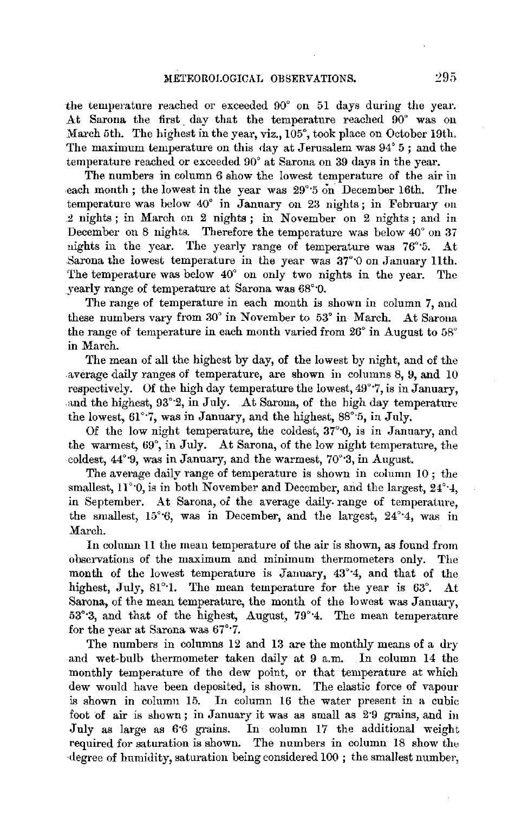the temperature reached or exceeded 90° on 51 days during the year. At Sarona the first day that the temperature reached 90° was on March 5th. The highest in the year, viz., 105°, took place on October 19th, The maximum temperature on this day at Jerusalem was 94° 5; and the temperature reached or exceeded 90° at Sarona on 39 days in the year.

The numbers in column 6 show the lowest temperature of the air in each month; the lowest in the year was  $29^{\circ}$  5 on December 16th. The temperature was below 40° in January on 23 nights; in February on 2 nights ; in March on 2 nights ; in November on 2 nights ; and in December on 8 nights. Therefore the temperature was below 40° on 37 nights in the year. The yearly range of temperature was 76° 5. At Sarona the lowest temperature in the year was 37°·0 on January 11th. The temperature was below 40° on only two nights in the year. The yearly range of temperature at Sarona was 68°·0.

The range of temperature in each month is shown in column 7, and these numbers vary from 30° in November to 53° in March. At Sarona the range of temperature in each month varied from 26° in August to 58° in March.

The mean of all the highest by day, of the lowest by night, and of the .average daily ranges of temperature, are shown in columns 8, 9, and 10 respectively. Of the high day temperature the lowest, 49'•7, is in January, and the highest, 93°2, in July. At Sarona, of the high day temperature the lowest, 61"·7, was in January, and the highest, 88°·5, in July.

Of the low night temperature, the coldest, 37°'0, is in January, and the warmest, 69°, in July. At Sarona, of the low night temperature, the coldest, 44°·9, was in January, and the warmest, 70°·3, in August.

The average daily range of temperature is shown in column 10; the smallest,  $11^{\circ}$ , is in both November and December, and the largest,  $24^{\circ}$ , 4, in September. At Sarona, *oi* the average daily- range of temperature, the smallest,  $15^{\circ}6$ , was in December, and the largest,  $24^{\circ}4$ , was in March.

In column 11 the mean temperature of the air is shown, as found from observations of the maximum and minimum thermometers only. The month of the lowest temperature is January,  $43^{\circ}4$ , and that of the highest, July, 81<sup>°</sup>·1. The mean temperature for the year is 63<sup>°</sup>. At Sarona, of the mean temperature, the month of the lowest was January, 53°·3, and that of the highest, August, 79°·4. The mean temperature for the year at Sarona was 67°·7.

The numbers in columns 12 and 13 are the monthly means of a dry and wet-bulb thermometer taken daily at 9 a.m. In column 14 the monthly temperature of the dew point, or that temperature at which dew would have been deposited, is shown. The elastic force of vapour is shown in column 15. In column 16 the water present in a cubic foot of air is shown; in January it was as small as 2·9 grains, and in July as large as 6·6 grains. In column 17 the additional weight required for saturation is shown. The numbers in column 18 show the ·degree of humidity, saturation being considered 100 ; the smallest number,